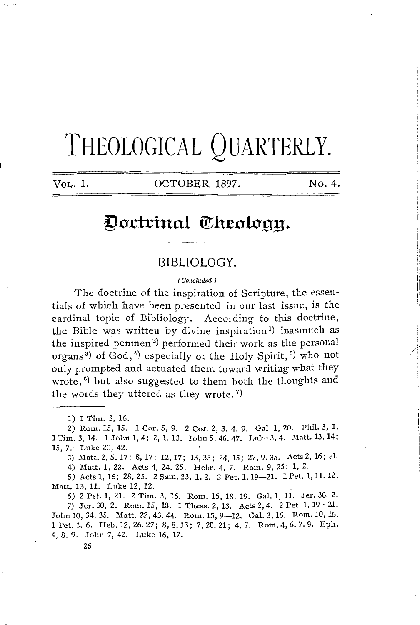# **THEOLOGICAL QUARTERLY.**

VOL. I. OCTOBER 1897. No. 4.

/

# Doctrinal Theology.

# BIBLIOLOGY.

( Concluded.)

The doctrine of the inspiration of Scripture, the essentials of which have been presented in our last issue, is the cardinal topic of Bibliology. According to this doctrine, the Bible was written by divine inspiration<sup>1</sup>) inasmuch as the inspired penmen<sup>2)</sup> performed their work as the personal organs<sup>3</sup>) of God, <sup>4</sup>) especially of the Holy Spirit, <sup>5</sup>) who not only prompted and actuated them toward writing what they wrote, $^6$ ) but also suggested to them both the thoughts and the words they uttered as they wrote.<sup>7)</sup>

1) 1 *Tim.* 3, 16.

2) Rom. 15, 15. 1 Cor. 5, 9. 2 Cor. 2, 3. 4. 9. Gal. **1,** 20. Phil. 3, **1.**  1 *Tim.* 3, 14. 1 John 1, 4; 2, 1. 13. John 5, 46. 47, Luke 3, 4. Matt.13, 14; 15, 7.· Luke 20, 42.

3) Matt.2,5.17; 8,17; 12,17; 13,35; 24,15; 27,9.35. Acts2,16; al.

4) Matt. 1, 22. Acts 4, 24. 25. Hehr. 4, 7. Rom. 9, 25; I, 2.

*5)* Acts 1, 16; 28, 25. 2 Sam. 23, 1. 2. 2 Pet. I, 19-21. 1 Pet. I, 11. 12. Matt. 13, 11. Luke 12, 12.

*6)* 2 l'et. 1, 21. 2 Tim. 3, 16. Rom. 15, 18. 19. Gal. 1, 11. Jer. 30, 2. 7) Jer. 30, 2. Rom. 15, 18. 1 Thess. 2, 13. Acts 2, 4. 2 Pet. 1, 19-21. John 10, 34, 35. Matt. 22, 43, 44. Rom. 15, 9-12. Gal. 3, 16. Rom. 10, 16. lPet.3,6. Heb.12,26.27; 8,8.13; 7,20.21; 4,7. Rom.4,6.7.9. Eph. 4, 8. 9. John 7, 42. Luke 16, 17.

25

-•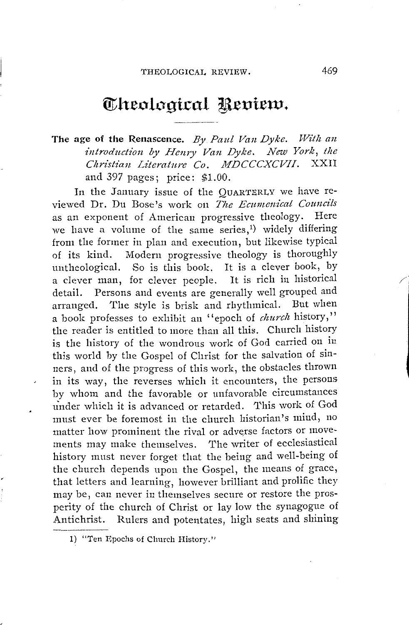# Cheological Review.

## The age of the Renascence.  $B_{\nu}$  *Paul Van Dyke. With an* introduction by *Henry Van Dyke*. New York, the Christian Literature Co. MDCCCXCVII. XXII and 397 pages; price: \$1.00.

In the January issue of the QUARTERLY we have reviewed Dr. Du Bose's work on *The Ecumenical Councils* as an exponent of American progressive theology. Here we have a volume of the same series,<sup>1)</sup> widely differing from the former in plan and execution, but likewise typical of its kind. Modern progressive theology is thoroughly untheological. So is this book. It is a clever book, by a clever man, for clever people. It is rich in historical detail. Persons and events are generally well grouped and arranged. The style is brisk and rhythmical. But when a book professes to exhibit an "epoch of *church* history," the reader is entitled to more than all this. Church history is the history of the wondrous work of God carried on in this world by the Gospel of Christ for the salvation of sinners, and of the progress of this work, the obstacles thrown in its way, the reverses which it encounters, the persons by whom and the favorable or unfavorable circumstances under which it is advanced or retarded. This work of God must ever be foremost in the church historian's mind, no matter how prominent the rival or adverse factors or movements may make themselves. The writer of ecclesiastical history must never forget that the being and well-being of the church depends upon the Gospel, the means of grace, that letters and learning, however brilliant and prolific they may be, can never in themselves secure or restore the prosperity of the church of Christ or lay low the synagogue of Antichrist. Rulers and potentates, high seats and shining

<sup>1) &</sup>quot;Ten Epochs of Church History."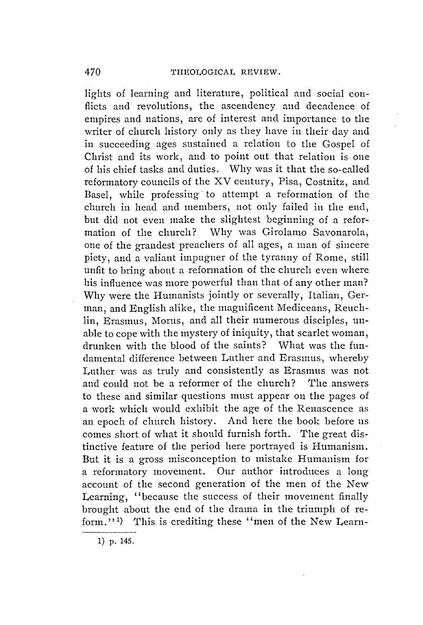lights of learning and literature, political and social conflicts and revolutions, the ascendency and decadence of empires and nations, are of interest and importance to the writer of church history only as they have in their day and in succeeding ages sustained a relation to the Gospel of Christ and its work, and to point out that relation is one of his chief tasks and duties. Why was it that the so-called reformatory councils of the XV century, Pisa, Costnitz, and Basel, while professing· to attempt a reformation of the church in head and members, not only failed in the end, but did not even make the slightest beginning of a reformation of the church? Why was Girolamo Savonarola, one of the grandest preachers of all ages, a man of sincere piety, and a valiant impugner of the tyranny of Rome, still unfit to bring about a reformation of the church even where his influence was more powerful than that of any other man? Why were the Humanists jointly or severally, Italian, German, and English alike, the magnificent Mediceans, Reuchlin, Erasmus, Morus, and all their numerous disciples, unable to cope with the mystery of iniquity, that scarlet woman, drunken with the blood of the saints? What was the fundamental difference between Luther and Erasmus, whereby Luther was as truly and consistently as Erasmus was not and could not be a reformer of the church? The answers to these and similar questions must appear on the pages of a work which would exhibit the age of the Renascence as an epoch of church history. And here the book before us comes short of what it should furnish forth. The great distinctive feature of the period here portrayed is Humanism. But it is a gross misconception to mistake Humanism for a reformatory movement. Our author introduces a long account of the second generation of the men of the New Learning, "because the success of their movement finally brought about the end of the drama in the triumph of reform." 1) This is crediting these "men of the New Learn-

1) p. 145.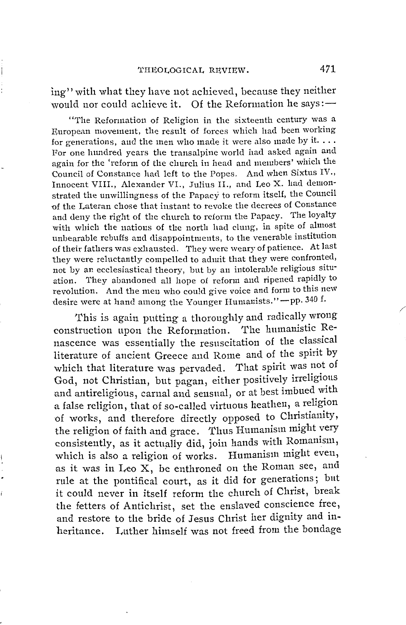ing'' with what they have not achieved, because they neither would nor could achieve it. Of the Reformation he says: $-$ 

' 'The Reformation of Religion in the sixteenth century was a European movement, the result of forces which had been working for generations, and the men who made it were also made by it.... For one hundred years the transalpine world had asked again and again for the 'reform of the church in head and members' which the Council of Constance had left to the Popes. And when Sixtus IV., Innocent VIII., Alexander VI., Julius II., and I,eo X. had demonstrated the unwillingness of the Papacy to reform itself, the Council of the Lateran chose that instant to revoke the decrees of Constance and deny the right of the church to reform the Papacy. The loyalty with which the nations of the north had clung, in spite of almost unbearable rebuffs and disappointments, to the venerable institution of their fathers was exhausted. They were weary of patience. At last they were reluctantly compelled to admit that they were confronted, not by an ecclesiastical theory, but by an intolerable religious situ· ation. They abandoned all hope of reform and ripened rapidly to revolution. And the men who could give voice and form to this new desire were at hand among the Younger Humanists."-pp. 340 f.

This is again putting a thoroughly and radically wrong construction upon the Reformation. The humanistic Renascence was essentially the resuscitation of the classical literature of ancient Greece and Rome and of the spirit by which that literature was pervaded. That spirit was not of God, not Christian, but pagan, either positively irreligious and antireligious, carnal and sensual, or at best imbued with a false religion, that of so-called virtuous heathen, a religion of works, and therefore directly opposed to Christianity, the religion of faith and grace. Thus Humanism might very consistently, as it actually did, join hands with Romanism, which is also a religion of works. Humanism might even, as it was in Leo X, be enthroned on the Roman see, and rule at the pontifical court, as it did for generations; but it could never in itself reform the church of Christ, break the fetters of Antichrist, set the enslaved conscience free, and restore to the bride of Jesus Christ her dignity and inheritance. Luther himself was not freed from the bondage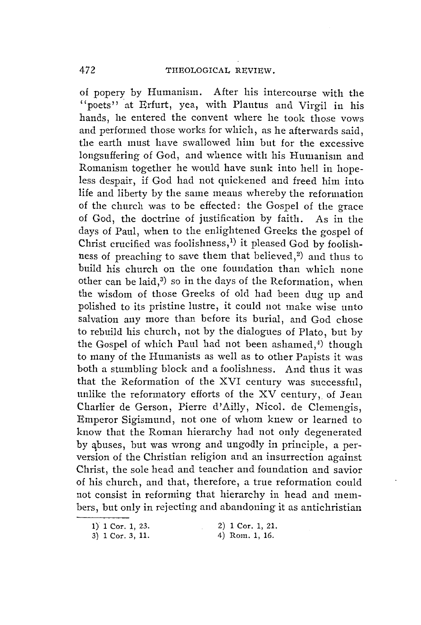of popery by Humanism. After his intercourse with the "poets" at Erfurt, yea, with Plautus and Virgil in his hands, he entered the convent where he took those vows and performed those works for which, as he afterwards said, the earth must have swallowed him but for the excessive longsuffering of God, and whence with his Humanism and Romanism together he would have sunk into hell in hopeless despair, if God had not quickened and freed him into life and liberty by the same means whereby the reformation of the church was to be effected: the Gospel of the grace of God, the doctrine of justification by faith. As in the days of Paul, when to the enlightened Greeks the gospel of Christ crucified was foolishness,<sup>1)</sup> it pleased God by foolishness of preaching to save them that believed,<sup>2</sup>) and thus to build his church on the one foundation than which none other can be laid, $3$ ) so in the days of the Reformation, when the wisdom of those Greeks of old had been dug up and polished to its pristine lustre, it could not make wise unto salvation any more than before its burial, and God chose to rebuild his church, not by the dialogues of Plato, but by the Gospel of which Paul had not been ashamed, $4$ ) though to many of the Humanists as well as to other Papists it was both a stumbling block and a foolishness. And thus it was that the Reformation of the XVI century was successful, unlike the reformatory efforts of the XV century, of Jean Charlier de Gerson, Pierre d' Ailly, Nicol. de Clemengis, Emperor Sigismund, not one of whom knew or learned to know that the Roman hierarchy had not only degenerated by abuses, but was wrong and ungodly in principle, a perversion of the Christian religion and an insurrection against Christ, the sole head and teacher and foundation and savior of his church, and that, therefore, a true reformation could not consist in reforming that hierarchy in head and members, but only in rejecting and abandoning it as antichristian

<sup>1) 1</sup> Cor. 1, 23.

<sup>3) 1</sup> Cor. 3, 11.

<sup>2) 1</sup> Cor. 1, 21. 4) Rom. 1, 16.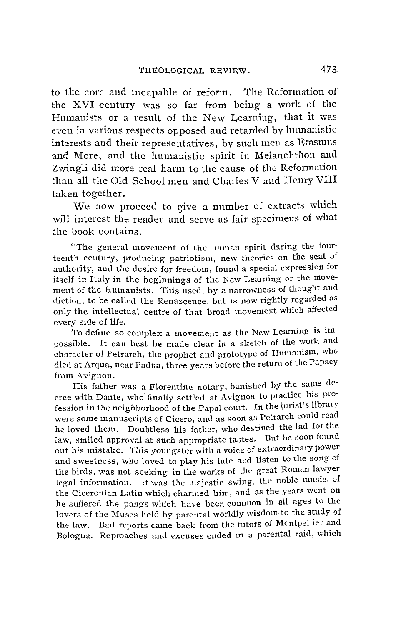to the core and incapable of reform. The Reformation of the XVI century was so far from being a work of the Humanists or a result of the New Learning, that it was even in various respects opposed and retarded by humanistic interests and their representatives, by such men as Erasmus and More, and the humanistic spirit in Melanchthon and Zwingli did more real harm to the cause of the Reformation than all the Old School men and Charles V and Henry VIII taken together.

We now proceed to give a number of extracts which will interest the reader and serve as fair specimens of what the book contains.

"The general movement of the human spirit during the fourteenth century, producing patriotism, new theories on the seat of authority, and the desire for freedom, found a special expression for itself in Italy in the beginnings of the New Learning or the movement of the Humanists. This used, by a narrowness of thought and diction, to be called the Renascence, but is now rightly regarded as only the intellectual centre of that broad movement which affected every side of life.

To define so complex a movement as the New Learning is impossible. It can best be made clear in a sketch of the work and character of Petrarch, the prophet and prototype of Humanism, who died at Arqua, near Padua, three years before the return of the Papacy from Avignon.

His father was a Florentine notary, banished by the same decree with Dante, who finally settled at Avignon to practice his profession in the neighborhood of the Papal court. In the jurist's library were some manuscripts of Cicero, and as soon as Petrarch could read he loved them. Doubtless his father, who destined the lad for the law, smiled approval at such appropriate tastes. But he soon found out his mistake. This youngster with a voice of extraordinary power and sweetness, who loved to play his lute and listen to the song of the birds, was not seeking in the works of the great Roman lawyer legal information. It was the majestic swing, the noble music, of the Ciceronian Latin which charmed him, and as the years went on he suffered the pangs which have been common in all ages to the lovers of the Muses held by parental worldly wisdom to the study of the law. Bad reports came back from the tutors of Montpellier and Bologna. Reproaches and excuses ended in a parental raid, which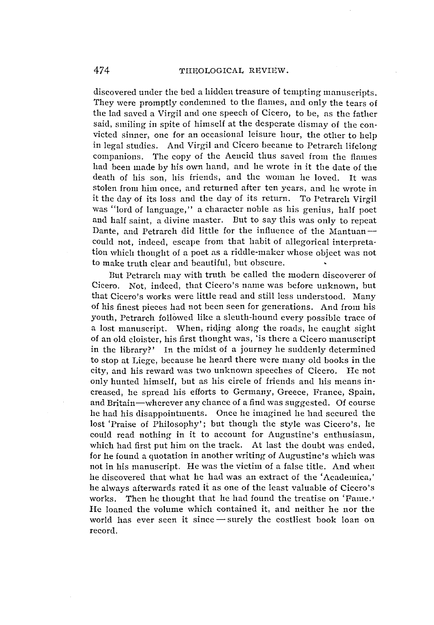discovered under the bed a hidden treasure of tempting manuscripts. They were promptly condemned to the flames, and only the tears of the lad saved a Virgil and one speech of Cicero, to be, as the father said, smiling in spite of himself at the desperate dismay of the convicted sinner, one for an occasional leisure hour, the other to help in legal studies. And Virgil and Cicero became to Petrarch lifelong companions. The copy of the Aeneid thus saved from the flames had been made by his own hand, and he wrote in it the date of the death of his son, his friends, and the woman he loved. It was stolen from him once, and returned after ten years, and he wrote in it the day of its loss and the day of its return. To Petrarch Virgil was "lord of language," a character noble as his genius, half poet and half saint, a divine master. But to say this was only to repeat Dante, and Petrarch did little for the influence of the Mantuancould not, indeed, escape from that habit of allegorical interpretation which thought of a poet as a riddle-maker whose object was not to make truth clear and beautiful, but obscure.

But Petrarch may with truth be called the modern discoverer of Cicero. Not, indeed, that Cicero's name was before unknown, but that Cicero's works were little read and still less understood. Many of his finest pieces had not been seen for generations. And from his youth, Petrarch followed like a sleuth-hound every possible trace of a lost manuscript. When, riding along the roads, he caught sight of an old cloister, his first thought was, 'is there a Cicero manuscript in the library?' In the midst of a journey he suddenly determined to stop at Liege, because he heard there were many old books in the city, and his reward was two unknown speeches of Cicero. He not only hunted himself, but as his circle of friends and his means increased, he spread his efforts to Germany, Greece, France, Spain, and Britain-wherever any chance of a find was suggested. Of course he had his disappointments. Once he imagined he had secured the lost "Praise of Philosophy'; but though the style was Cicero's, he could read nothing in it to account for Augustine's enthusiasm, which had first put him on the track. At last the doubt was ended, for he found a quotation in another writing of Augustine's which was not in his manuscript. He was the victim of a false title. **And** when he discovered that what he had was an extract of the 'Academica,' he always afterwards rated it as one of the least valuable of Cicero's works. Then he thought that he had found the treatise on 'Fame.' He loaned the volume which contained it, and neither he nor the world has ever seen it since  $-$  surely the costliest book loan ou record.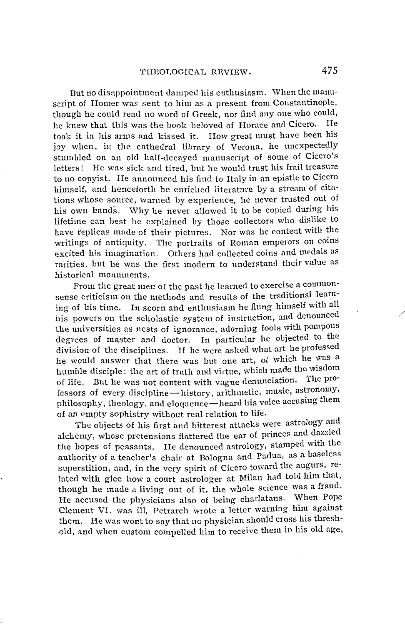But no disappointment damped his enthusiasm. When the manuscript of Homer was sent to him as a present from Constantinople, though he could read no word of Greek, nor find any one who could, he knew that this was the book beloved of Horace and Cicero. He took it in his arms and kissed it. How great must have been his joy when, in the cathedral library of Verona, he unexpectedly stumbled on an old half-decayed manuscript of some of Cicero's letters! He was sick and tired, but he would trust his frail treasure to no copyist. He announced his find to Italy in an epistle to Cicero himself, and henceforth he enriched literature by a stream of citations whose source, warned by experience, he never trusted out of his own hands. Why he never allowed it to be copied during his lifetime can best be explained by those collectors who dislike to have replicas made of their pictures. Nor was he content with the writings of antiquity. The portraits of Roman emperors on coins excited his imagination. Others had collected coins and medals as rarities, but he was the first modern to understand their value as historical monuments.

From the great men of the past he learned to exercise a commonsense criticism on the methods and results of the traditional learning of his time. In scorn and enthusiasm he flung himself with all his powers on the scholastic system of instruction, and denounced the universities as nests of ignorance, adorning fools with pompous degrees of master and doctor. In particular he objected to the division of the disciplines. If he were asked what art he professed he would answer that there was but one art, of which he was a humble disciple: the art of truth and virtue, which made the wisdom of life. But he was not content with vague denunciation. The professors of every discipline-history, arithmetic, music, astronomy, philosophy, theology, and eloquence-heard his voice accusing them of an empty sophistry without real relation to life.

The objects of his first and bitterest attacks were astrology and alchemy, whose pretensions flattered the ear of princes and dazzled the hopes of peasants. He denounced astrology, stamped with the authority of a teacher's chair at Bologna and Padua, as a baseless superstition, and, in the very spirit of Cicero toward the augurs, related with glee how a court astrologer at Milan had told him that, though he made a living out of it, the whole science was a fraud. He accused the physicians also of being charlatans. When Pope Clement VI. was ill, Petrarch wrote a letter warning him against them. He was wont to say that no physician should cross his threshold, and when custom compelled him to receive them in his old age,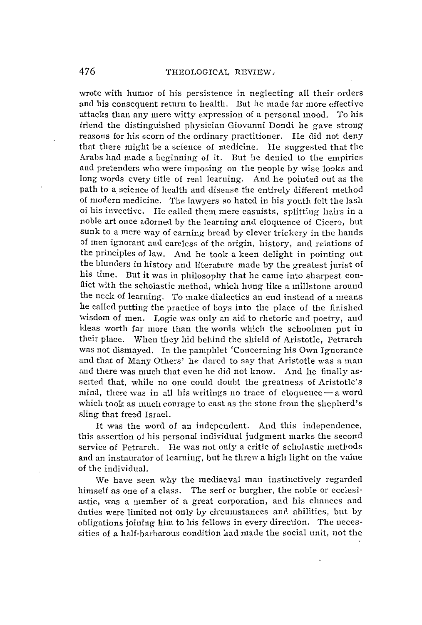wrote with humor of his persistence in neglecting all their orders and his consequent return to health. But he made far more effective attacks than any mere witty expression of a personal mood. To his friend the distinguished physician Giovanni Dondi he gave strong reasons for his scorn of the ordinary practitioner. He did not deny that there might be a science of medicine. He suggested that the Arabs had made a beginning of it. But he denied to the empirics and pretenders who were imposing on the people by wise looks and long words every title of real learning. And he pointed out as the path to a science of health and disease the entirely different method of modern medicine. The lawyers so hated in his youth felt the lash of his invective. He called them mere casuists, splitting hairs in a noble art once adorned by the learning and eloquence of Cicero, but sunk to a mere way of earning bread by clever trickery in the hands of men ignorant and careless of the origin, history, and relations of the principles of law. And he took a keen delight in pointing out the blunders in history and literature made by the greatest jurist of his time. But it was in philosophy that he came into sharpest conflict with the scholastic method, which hung like a millstone around the neck of learning. To make dialectics an end instead of a means he called putting the practice of boys into the place of the finished wisdom of men. I.ogic was only an aid to rhetoric and poetry, and ideas worth far more than the words which the schoolmen put in their place. When they hid behind the shield of Aristotle, Petrarch was not dismayed. In the pamphlet 'Concerning his Own Ignorance and that of Many Others' he dared to say that Aristotle was a man and there was much that even he did not know. And he finally asserted that, while no one could doubt the greatness of Aristotle's mind, there was in all his writings no trace of eloquence $-a$  word which took as much courage to cast as the stone from the shepherd's sling that freed Israel.

It was the word of an independent. And this independence, this assertion of his personal individual judgment marks the second service of Petrarch. He was not only a critic of scholastic methods and an instaurator of learning, but he threw a high light on the value of the individual.

We have seen why the mediaeval man instinctively regarded himself as one of a class. The serf or burgher, the noble or ecclesiastic, was a member of a great corporation, and his chances and duties were limited not only by circumstances and abilities, but by obligations joining him to his fellows in every direction. The necessities of a half-barbarous condition had made the social unit, not the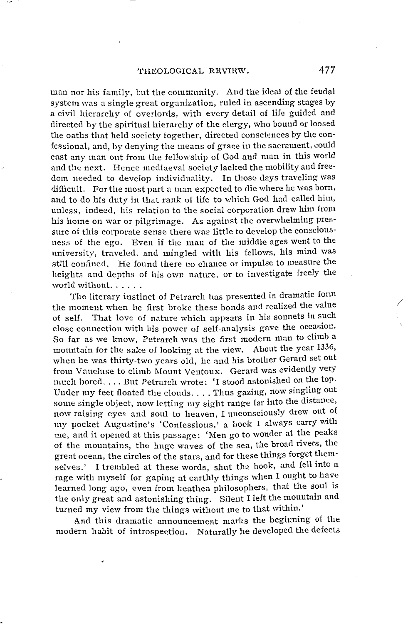man nor his family, but the community. And the ideal of the feudal system was a single great organization, ruled in ascending stages by a civil hierarchy of overlords, with every detail of life guided and directed by the spiritual hierarchy of the clergy, who bound or loosed the oaths that held society together, directed consciences by the confessional, and, by denying the means of grace in the sacrament, could cast any man out from the fellowship of God and man in this world and the next. Hence mediaeval society lacked the mobility and freedom needed to develop individuality. In those days traveling was diflicult. For the most part a man expected to die where he was born, and to do his duty in that rank of life to which God had called him, unless, indeed, his relation to the social corporation drew him from his home on war or pilgrimage. As against the overwhelming pressure of this corporate sense there was little to develop the consciousness of the ego. Even if the man of the middle ages went to the university, traveled, and mingled with his fellows, his mind was still confined. He found there no chance or impulse to measure the heights and depths of his own nature, or to investigate freely the world without. . . . . .

The literary instinct of Petrarch has presented in dramatic form the moment when he first broke these bonds and realized the value of self. That love of nature which appears in his sonnets in such close connection with his power of self-analysis gave the occasion. So far as we know, Petrarch was the first modern man to climb a mountain for the sake of looking at the view. About the year 1336, when he was thirty-two years old, he and his brother Gerard set out from Vaucluse to climb Mount Ventoux. Gerard was evidently very much bored.... But Petrarch wrote: 'I stood astonished on the top. Under my feet floated the clouds .... Thus gazing, now singling out some single object, now letting my sight range far into the distance, now raising eyes and soul to heaven, I unconsciously drew out of my pocket Augustine's 'Confessions,' a book I always carry with me, and it opened at this passage: 'Men go to wonder at the peaks of the mountains, the huge waves of the sea, the broad rivers, the great ocean, the circles of the stars, and for these things forget themselves.' I trembled at these words, shut the book, and fell into a rage with myself for gaping at earthly things when I ought to have learned long ago, even from heathen philosophers, that the soul is the only great and astonishing thing. Silent I left the mountain and turned my view from the things without me to that within.'

And this dramatic announcement marks the beginning of the modern habit of introspection. Naturally he developed the defects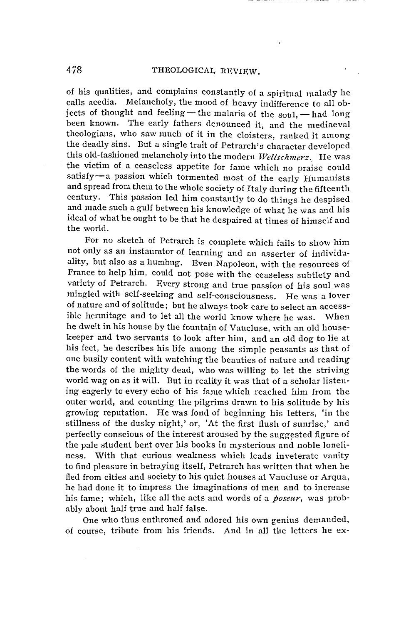of his qualities, and complains constantly of a spiritual malady he calls acedia. Melancholy, the mood of heavy indifference to all obiects of thought and feeling- the malaria of the soul, - had long been known. The early fathers denounced it, and the mediaeval theologians, who saw much of it in the cloisters, ranked it among the deadly sins. But a single trait of Petrarch's character developed this old-fashioned melancholy into the modern *Weltschmerz*. He was the victim of a ceaseless appetite for fame which no praise could satisfy-a passion which tormented most of the early Humanists and spread from them to the whole society of Italy during the fifteenth century. This passion led him constantly to do things he despised and made such a gulf between his knowledge of what he was and his ideal of what he ought to be that he despaired at times of himself and the world.

For no sketch of Petrarch is complete which fails to show him not only as an instaurator of learning and an asserter of individuality, but also as a humbug. Even Napoleon, with the resources of France to help him, could not pose with the ceaseless subtlety and variety of Petrarch. Every strong and true passion of his soul was mingled with self-seeking and self-consciousness. He was a lover of nature and of solitude; but he always took care to select an accessible hermitage and to let all the world know where he was. When he dwelt in his house by the fountain of Vaucluse, with an old housekeeper and two servants to look after him, and an old dog to lie at his feet, he describes his life among the simple peasants as that of one busily content with watching the beauties of nature and reading the words of the mighty dead, who was willing to let the striving world wag on as it will. But in reality it was that of a scholar listening eagerly to every echo of his fame which reached him from the outer world, and counting the pilgrims drawn to his solitude by his growing reputation. He was fond of beginning his letters, 'in the stillness of the dusky night,' or, 'At the first flush of sunrise,' and perfectly conscious of the interest aroused by the suggested figure of the pale student bent over his books in mysterious and noble loneliness. With that curious weakness which leads inveterate vanity to find pleasure in betraying itself, Petrarch has written that when he fled from cities and society to his quiet houses at Vaucluse or Arqua, he had done it to impress the imaginations of men and to increase his fame; which, like all the acts and words of a *poseur,* was probably about half true and half false.

One who thus enthroned and adored his own genius demanded, of course, tribute from his friends. And in all the letters he ex-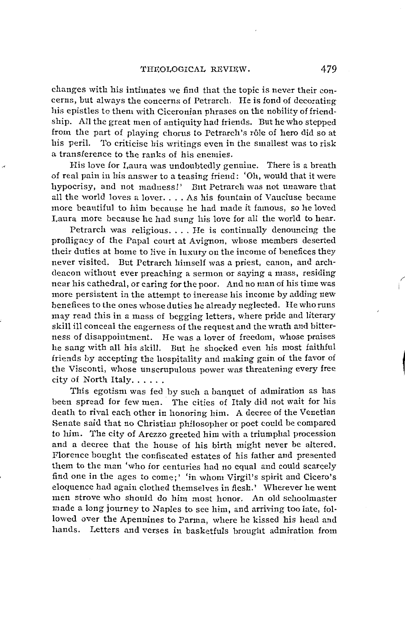changes with his intimates we find that the topic is never their concerns, but always the concerns of Petrarch. He is fond of decorating his epistles to them with Ciceronian phrases on the nobility of friendship. All the great men of antiquity had friends. But he who stepped from the part of playing chorus to Petrarch's rôle of hero did so at his peril. To criticise his writings even in the smallest was to risk a transference to the ranks of his enemies.

His love for I,aura was undoubtedly genuine. There is a breath of real pain in his answer to a teasing friend: 'Oh, would that it were hypocrisy, and not madness!' But Petrarch was not unaware that all the world loves a lover.  $\dots$  As his fountain of Vaucluse became more beautiful to him because he had made it famous, so he loved Laura more because he had sung his love for all the world to hear.

Petrarch was religious .... He is continually denouncing the profligacy of the Papal court at Avignon, whose members deserted their duties at home to live in luxury on the income of benefices they never visited. But Petrarch himself was a priest, canon, and archdeacon without ever preaching a sermon or saying a mass, residing near his cathedral, or caring for the poor. And no man of his time was more persistent in the attempt to increase his income by adding new benefices to the ones whose duties he already neglected. He who runs may read this in a mass of begging letters, where pride and literary skill ill conceal the eagerness of the request and the wrath and bitterness of disappointment. He was a lover of freedom, whose praises he sang with all his skill. But he shocked even his most faithful friends by accepting the hospitality and making gain of the favor of the Visconti, whose unscrupulous power was threatening every free city of North Italy. . . . . .

This egotism was fed by such a banquet of admiration as has been spread for few men. The cities of Italy did not wait for his death to rival each other in honoring him. A decree of the Venetian Senate said that no Christian philosopher or poet could be compared to him. The city of Arezzo greeted him with a triumphal procession and a decree that the house of his birth might never be altered. Florence bought the confiscated estates of his father and presented them to the man 'who for centuries had no equal and could scarcely find one in the ages to come;' 'in whom Virgil's spirit and Cicero's eloquence had again clothed themselves in flesh.' Wherever he went men strove who should do him most honor. An old schoolmaster made a long journey to Naples to see him, and arriving too late, followed over the Apennines to Parma, where he kissed his head and hands. Letters and verses in basketfuls brought admiration from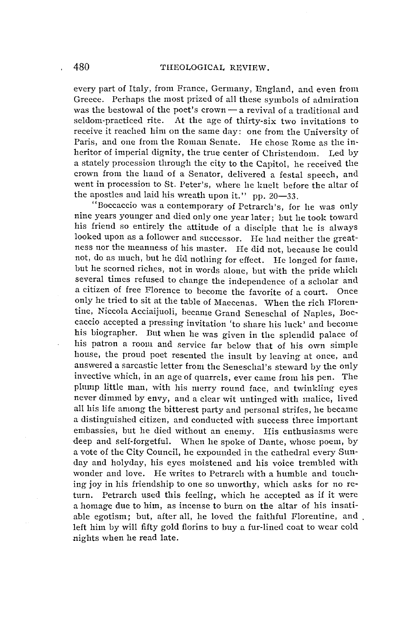every part of Italy, from France, Germany, England, and even from Greece. Perhaps the most prized of all these symbols of admiration was the bestowal of the poet's crown  $-a$  revival of a traditional and seldom-practiced rite. At the age of thirty-six two invitations to receive it reached him on the same day: one from the University of Paris, and one from the Roman Senate. He chose Rome as the inheritor of imperial dignity, the true center of Christendom. Led by a stately procession through the city to the Capitol, he received the crown from the hand of a Senator, delivered a festal speech, and went in procession to St. Peter's, where he knelt before the altar of the apostles and laid his wreath upon it." pp. 20-33.

"Boccaccio was a contemporary of Petrarch's, for he was only nine years younger and died only one year later; but he took toward his friend so entirely the attitude of a disciple that he is always looked upon as a follower and successor. He had neither the greatness nor the meanness of his master. He did not, because he could not, do as much, but he did nothing for effect. He longed for fame, but he scorned riches, not in words alone, but with the pride which several times refused to change the independence of a scholar and a citizen of free Florence to become the favorite of a court. Once only he tried to sit at the table of Maecenas. When the rich Florentine, Niccola Acciaijuoli, became Grand Seneschal of Naples, Boccaccio accepted a pressing invitation 'to share his luck' and become his biographer. But when he was given in the splendid palace of his patron a room and service far below that of his own simple house, the proud poet resented the insult by leaving at once, and answered a sarcastic letter from the Seneschal's steward by the only invective which, in an age of quarrels, ever came from his pen. The plump little man, with his merry round face, and twinkling eyes never dimmed by envy, and a clear wit untinged with malice, lived all his life among the bitterest party and personal strifes, he became a distinguished citizen, and conducted with success three important embassies, but he died without an enemy. His enthusiasms were deep and self-forgetful. When he spoke of Dante, whose poem, by a vote of the City Council, he expounded in the cathedral every Sunday and holyday, his eyes moistened and his voice trembled with wonder and love. He writes to Petrarch with a humble and touching joy in his friendship to one so unworthy, which asks for no return. Petrarch used this feeling, which he accepted as if it were a homage due to him, as incense to burn on the altar of his insatiable egotism; but, after all, he loved the faithful Florentine, and left him by will fifty gold florins to buy a fur-lined coat to wear cold nights when he read late.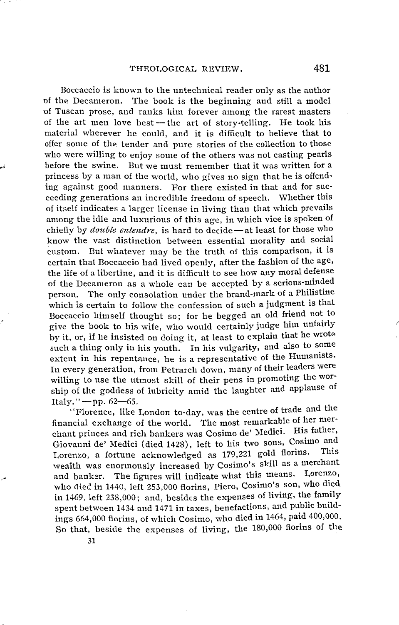Boccaccio is known to the untechnical reader only as the author of the Decameron. The book is the beginning and still a model of Tuscan prose, and ranks him forever among the rarest masters of the art men love best - the art of story-telling. He took his material wherever he could, and it is difficult to believe that to offer some of the tender and pure stories of the collection to those who were willing to enjoy some of the others was not casting pearls before the swine. But we must remember that it was written for a princess by a man of the world, who gives no sign that he is offending against good manners. For there existed in that and for succeeding generations an incredible freedom of speech. Whether this of itself indicates a larger license in living than that which prevails among the idle and luxurious of this age, in which vice is spoken of chiefly by *double entendre*, is hard to decide-at least for those who know the vast distinction between essential morality and social custom. But whatever may be the truth of this comparison, it is certain that Boccaccio had lived openly, after the fashion of the age, the life of a libertine, and it is difficult to see how any moral defense of the Decameron as a whole can be accepted by a serious-minded person. The only consolation under the brand-mark of a Philistine which is certain to follow the confession of such a judgment is that Boccaccio himself thought so; for he begged an old friend not to give the book to his wife, who would certainly judge him unfairly by it, or, if he insisted on doing it, at least to explain that he wrote such a thing only in his youth. In his vulgarity, and also to some extent in his repentance, he is a representative of the Humanists. In every generation, from Petrarch down, many of their leaders were willing to use the utmost skill of their pens in promoting the wor· ship of the goddess of lubricity amid the laughter and applause of Italy." $-$ pp. 62-65.

"Florence, like London to-day, was the centre of trade and the financial exchange of the world. The most remarkable of her mer· chant princes and rich bankers was Cosimo de' Medici. His father, Giovanni de' Medici (died 1428), left to his two sons, Cosimo and<br>Legenda de fortune estatunidade de 170 221 gold florins. This Lorenzo, a fortune acknowledged as 179,221 gold florins. wealth was enormously increased by Cosimo's skill as a merchant and banker. The figures will indicate what this means. Lorenzo, who died in 1440, left 253,000 florins, Piere, Cosimo's son, who died in 1469, left 238,000; and, besides the expenses of living, the family spent between 1434 and 1471 in taxes, benefactions, and public buildings 664,000 florins, of which Cosimo, who died in 1464, paid 400,000. So that, beside the expenses of living, the 180,000 florins of the

31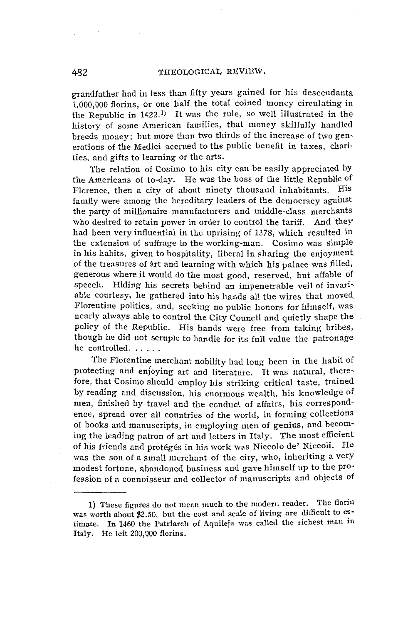#### 482 THEOLOGICAL REVIEW.

grandfather had in less than fifty years gained for his descendants 1,000,000 florins, or one half the total coined money circulating in the Republic in 1422.1) It was the rule, so well illustrated in the history of some American families, that money skilfully handled breeds money; but more than two thirds of the increase of two generations of the Medici accrued to the public benefit in taxes, charities, and gifts to learning or the arts.

The relation of Cosimo to his city can be easily appreciated by the Americans of to-day. He was the boss of the little Republic of Florence, then a city of about ninety thousand inhabitants. His Florence, then a city of about ninety thousand inhabitants. family were among the hereditary leaders of the democracy against the party of millionaire manufacturers and middle-class merchants who desired to retain power in order to control the tariff. And they had been very influential in the uprising of 1378, which resulted in the extension of suffrage to the working-man. Cosimo was simple in his habits, given to hospitality, liberal in sharing the enjoyment of the treasures of art and learning with which his palace was filled, generous where it would do the most good, reserved, but affable of speech. Hiding his secrets behind an impenetrable veil of invariable courtesy, he gathered into his hands all the wires that moved Florentine politics, and, seeking no public honors for himself, was nearly always able to control the City Council and quietly shape the policy of the Republic. His hands were free from taking bribes, though he did not scruple to handle for its full value the patronage he controlled. . . . . .

The Florentine merchant nobility had long been in the habit of protecting and enjoying art and literature. It was natural, therefore, that Cosimo should employ his striking critical taste, trained by reading and discussion, his enormous wealth, his knowledge of men, finished by travel and the conduct of affairs, his correspond· ence, spread over all countries of the world, in forming collections of books and manuscripts, in employing men of genius, and becom· ing the leading patron of art and letters in Italy. The most efficient of his friends and proteges in his work was Niccolo de' Niccoli. He was the son of a small merchant of the city, who, inheriting a very modest fortune, abandoned business and gave himself up to the pro· fcssion of a connoisseur and collector of manuscripts and objects of

<sup>1) &#</sup>x27;fhese figures do not mean much to the modern reader. 'fhe florin was worth about \$2.50, but the cost and scale of living are difficult to estimate. In 1460 the Patriarch of Aquileja was called the richest man in Italy. He left 200,000 florins.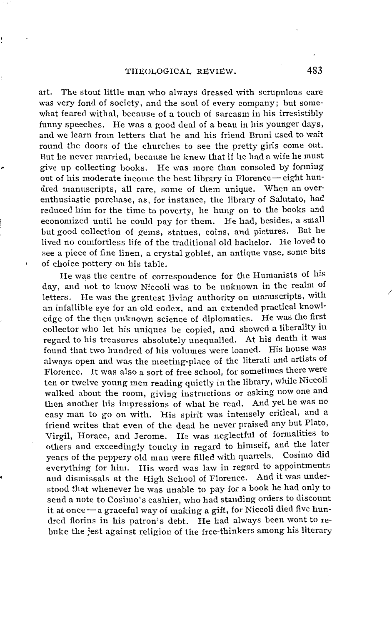#### THEOLOGICAL REVIEW. 483

art. The stout little man who always dressed with scrupulous care was very fond of society, and the soul of every company; but somewhat feared withal, because of a touch of sarcasm in his irresistibly funny speeches. He was a good deal of a beau in his younger days, and we learn from letters that he and his friend Bruni used to wait round the doors of the churches to see the pretty girls come out. But he never married, because he knew that if he had a wife he must give up collecting books. He was more than consoled by forming out of his moderate income the best library in Florence-eight hundred manuscripts, all rare, some of them unique. When an overenthusiastic purchase, as, for instance, the library of Salutato, had reduced him for the time to poverty, he hung on to the books and economized until he could pay for them. He had, besides, a small but good collection of gems, statues, coins, and pictures. But he lived no comfortless life of the traditional old bachelor. He loved to see a piece of fine linen, a crystal goblet, an antique vase, some bits of choice pottery on his table.

He was the centre of correspondence for the Humanists of his day, and not to know Niccoli was to be unknown in the realm of letters. He was the greatest living authority on manuscripts, with an infallible eye for an old codex, and an extended practical knowl· edge of the then unknown science of diplomatics. He was the first collector who let his uniques be copied, and showed a liberality in regard to his treasures absolutely unequalled. At his death it was found that two hundred of his volumes were loaned. His house was always open and was the meeting-place of the literati and artists of Florence. It was also a sort of free school, for sometimes there were ten or twelve young men reading quietly in the library, while Niccoli walked about the room, giving instructions or asking now one and then another his impressions of what he read. And yet he was no easy man to go on with. His spirit was intensely critical, and a friend writes that even of the dead he never praised any but Plato, Virgil, Horace, and Jerome. He was neglectful of formalities to others and exceedingly touchy in regard to himself, and the later years of the peppery old man were filled with quarrels. Cosimo did everything for him. His word was law in regard to appointments and dismissals at the High School of Florence. And it was understood that whenever he was unable to pay for a book he had only to send a note to Cosimo's cashier, who had standing orders to discount it at once- a graceful way of making a gift, for Niccoli died five hundred florins in his patron's debt. He had always been wont to rebuke the jest against religion of the free-thinkers among his literary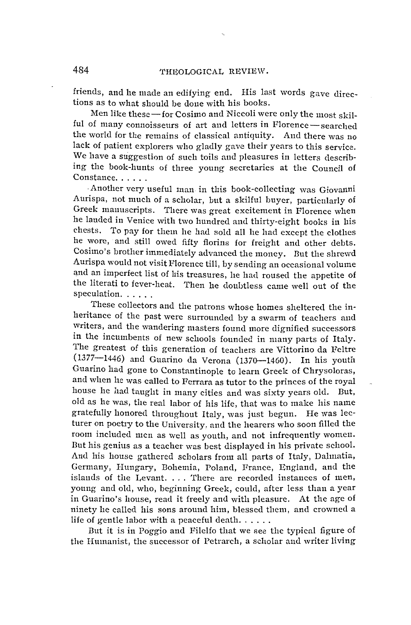friends, and he made an edifying end. His last words gave directions as to what should be done with his books.

Men like these - for Cosimo and Niccoli were only the most skilful of many connoisseurs of art and letters in Florence-searched the world for the remains of classical antiquity. And there was no lack of patient explorers who gladly gave their years to this service. We have a suggestion of such toils and pleasures in letters describing the book-hunts of three young secretaries at the Council of Constance.....

· Another very useful man in this book-collecting was Giovanni Aurispa, not much of a scholar, but a skilful buyer, particularly of Greek manuscripts. There was great excitement in Florence when he landed in Venice with two hundred and thirty-eight books in his chests. To pay for them he had sold all he had except the clothes he wore, and still owed fifty florins for freight and other debts. Cosimo's brother immediately advanced the money. But the shrewd Aurispa would not visit Florence till, by sending an occasional volume and an imperfect list of his treasures, he had roused the appetite of the literati to fever-heat. Then he doubtless came well out of the speculation.....

These collectors and the patrons whose homes sheltered the inheritance of the past were surrounded by a swarm of teachers and writers, and the wandering masters found more dignified successors in the incumbents of new schools founded in many parts of Italy. The greatest of this generation of teachers are Vittorino da Feltre (1377-1446) and Guarino da Verona (1370-1460). In his youth Guarino had gone to Constantinople to learn Greek of Chrysoloras, and when he was called to Ferrara as tutor to the princes of the royal house he had taught in many cities and was sixty years old. But, old as he was, the real labor of his life, that was to make his name gratefully honored throughout Italy, was just begun. He was lecturer on poetry to the University, and the hearers who soon filled the room included men as well as youth, and not infrequently women. But his genius as a teacher was best displayed in his private school. And his house gathered scholars from all parts of Italy, Dalmatia, Germany, Hungary, Bohemia, Poland, France, England, and the islands of the Levant. . .. There are recorded instances of men, young and old, who, beginning Greek, could, after less than a year in Guarino's house, read it freely and with pleasure. At the age of ninety he called his sons around him, blessed them, and crowned a life of gentle labor with a peaceful death......

But it is in Poggio and Filelfo that we see the typical figure of the Humanist, the successor of Petrarch, a scholar and writer living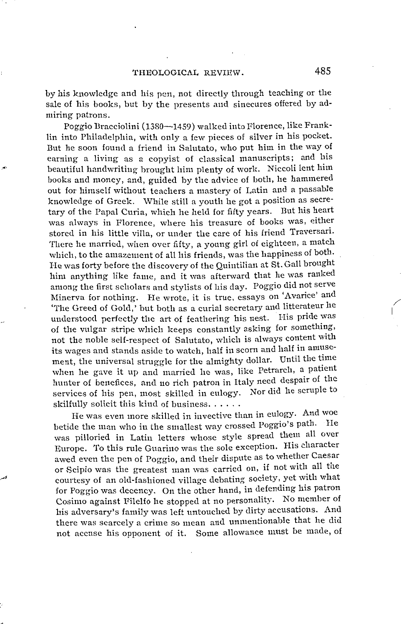by his knowledge and his pen, not directly through teaching or the sale of his books, but by the presents and sinecures offered by admiring patrons.

Poggio Bracciolini (1380--1459) walked into Florence, like Franklin into Philadelphia, with only a few pieces of silver in his pocket. But he soon found a friend in Salutato, who put him in the way of earning a living as a copyist of classical manuscripts; and his beautiful handwriting brought him plenty of work. Niccoli lent him books and money, and, guided by the advice of both, he hammered out for himself without teachers a mastery of Latin and a passable knowledge of Greek. While still a youth he got a position as secretary of the Papal Curia, which he held for fifty years. But his heart was always in Florence, where his treasure of books was, either stored in his little villa, or under the care of his friend Traversari. There he married, when over fifty, a young girl of eighteen, a match which, to the amazement of all his friends, was the happiness of both. He was forty before the discovery of the Quintilian at St. Gall brought him anything like fame, and it was afterward that he was ranked among the first scholars and stylists of his day. Poggio did not serve Minerva for nothing. He wrote, it is true, essays on 'Avarice' and 'The Greed of Gold,' but both as a curial secretary and litterateur he understood perfectly the art of feathering his nest. His pride was of the vulgar stripe which keeps constantly asking for something, not the noble self-respect of Salutato, which is always content with its wages and stands aside to watch, half in scorn and half in amusement, the universal struggle for the almighty dollar. Until the time when he gave it up and married he was, like Petrarch, a patient hunter of benefices, and no rich patron in Italy need despair of the services of his pen, most skilled in eulogy. Nor did he scruple to skilfully solicit this kind of business.  $\dots$ .

He was even more skilled in invective than in eulogy. And woe betide the man who in the smallest way crossed Poggio's path. He was pilloried in Latin letters whose style spread them all over Europe. To this rule Guarino was the sole exception. His character awed even the pen of Poggio, and their dispute as to whether Caesar or Scipio was the greatest man was carried 011, if not with all the courtesy of an old-fashioned village debating society, yet with what for Poggio was decency. On the other hand, in defending his patron Cosimo against Filelfo he stopped at no personality. No member of his adversary's family was left untouched by dirty accusations. And there was scarcely a crime so mean and unmentionable that he did not accuse his opponent of it. Some allowance must be made, of

/ I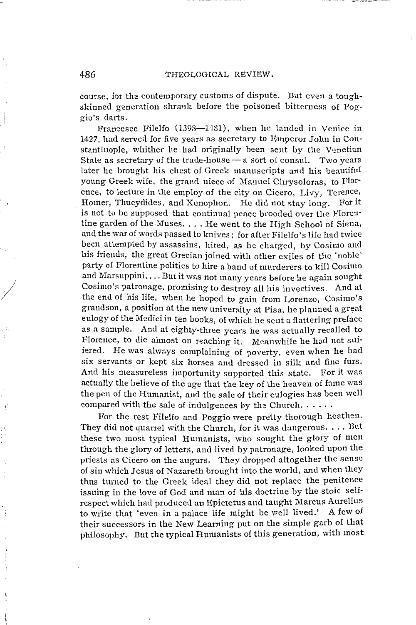course, for the contemporary customs of dispute. But even a toughskinned generation shrank before the poisoned bitterness of Poggio's darts.

Francesco Filelfo (1398-1481), when he landed in Venice in 1427, had served for five years as secretary to Emperor John iu Constantinople, whither he had originally been sent by the Venetian State as secretary of the trade-house  $-a$  sort of consul. Two years later he brought his chest of Greek manuscripts and his beautiful young Greek wife, the grand niece of Manuel Chrysoloras, to Florence, to lecture in the employ of the city on Cicero, Livy, Terence, Homer, Thucydides, and Xenophon. He did not stay long. For it is not to be supposed that continual peace brooded over the Florentine garden of the Muses .... He went to the High School of Siena, and the war of words passed to knives; for after Filelfo's life had twice been attempted by assassins, hired, as he charged, by Cosimo and his friends, the great Grecian joined with other exiles of the 'noble' party of Florentine politics to hire a band of murderers to kill Cosimo and Marsuppini. ... But it was not many years before he again sought Cosimo's patronage, promising to destroy all his invectives. And at the end of his life, when he hoped to gain from Lorenzo, Cosimo's grandson, a position at the new university at Pisa, he planned a great eulogy of the Medici in ten books, of which he sent a flattering preface as a sample. And at eighty-three years he was actually recalled to Florence, to die almost on reaching it. Meanwhile he had not suffered. He was always complaining of poverty, even when he had six servants or kept six horses and dressed in silk and fine furs. And his measureless importunity supported this state. For it was actually the believe of the age that the key of the heaven of fame was the pen of the Humanist, and the sale of their eulogies has been well compared with the sale of indulgences by the Church.  $\dots$ 

For the rest Filelfo and Poggio were pretty thorough heathen. They did not quarrel with the Church, for it was dangerous.  $\ldots$  But these two most typical Humanists, who sought the glory of men through the glory of letters, and lived by patronage, looked upon the priests as Cicero on the augurs. They dropped altogether the sense of sin which Jesus of Nazareth brought into the world, and when they thus turned to the Greek ideal they did not replace the penitence issuing in the love of God and man of his doctrine by the stoic selfrespect which had produced an Epictetus and taught Marcus Aurelius to write that 'even in a palace life might be well lived.' A few of their successors in the New Learning put on the simple garb of that philosophy. But the typical Humanists of this generation, with most

./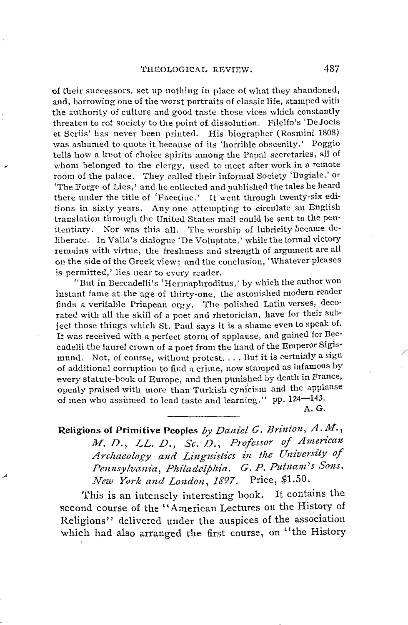of their successors, set up nothing in place of what they abandoned, and, borrowing one of the worst portraits of classic life, stamped with the authority of culture and good taste those vices which constantly threaten to rot society to the point of dissolution. Filelfo's 'De Jocis et Seriis' has never been printed. His biographer (Rosmini 1808) was ashamed to quote it because of its 'horrible obscenity.' Poggio tells how a knot of choice spirits among the Papal secretaries, all of whom belonged to the clergy, used to meet after work in a remote room of the palace. They called their informal Society 'Dugiale,' or 'The Forge of Lies,' and he collected and published the tales he heard there under the title of 'Facetiae.' It went through twenty-six editions in sixty years. Any one attempting to circulate an English translation through the United States mail could be sent to the penitentiary. Nor was this all. The worship of lubricity became deliberate. In Valla's dialogue 'De Voluptate,' while the formal victory remains with virtue, the freshness and strength of argument are all on the side of the Greek view; and the conclusion, 'Whatever pleases is permitted,' lies near to every reader.

''But in Beccadelli's 'Hermaphroditus,' by which the author won instant fame at the age of thirty-one, the astonished modern reader finds a veritable Priapean orgy. The polished Latin verses, deco• rated with all the skill of a poet and rhetorician, have for their subject those things which St. Paul says it is a shame even to speak of. It was received with a perfect storm of applause, and gained for Beccadelli the laurel crown of a poet from the hand of the Emperor Sigis· mund. Not, of course, without protest.... But it is certainly a sign of additional corruption to find a crime, now stamped as infamous by every statute-book of Europe, and then punished by death in France, openly praised with more than Turkish cynicism and the applause of men who assumed to lead taste and learning." pp. 124-143.

A.G.

/

# **Religions of Primitive Peoples** *by Daniel G. Brinton, A, M., NI. D., LL. D., Sc. D., Professor of American Archaeology and Linguistics in the University of*  Pennsylvania, Philadelphia. G. P. Putnam's Sons. *New York and London, 1897.* Price, \$1.50.

This is an intensely interesting book. It contains the second course of the '' American Lectures on the History of Religions" delivered under the auspices of the association which had also arranged the first course, on "the History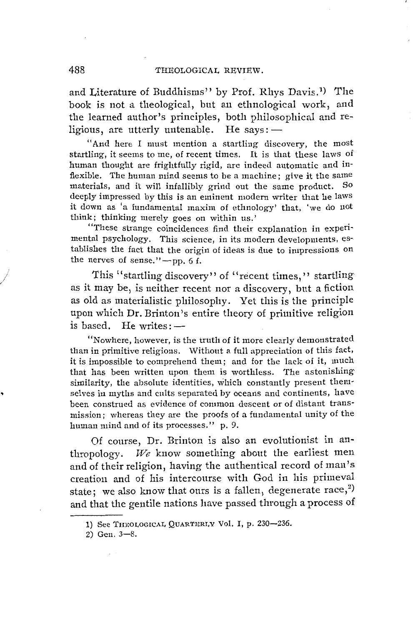#### 488 THEOLOGICAL REVIEW.

and Literature of Buddhisms" by Prof. Rhys Davis.<sup>1</sup>) The book is not a theological, but an ethnological work, and the learned author's principles, both philosophical and religious, are utterly untenable. He says:  $-$ 

"And here I must mention a startling discovery, the most startling, it seems to me, of recent times. It is that these laws of human thought are frightfully rigid, are indeed automatic and inflexible. The human mind seems to be a machine; give it the same materials, and it will infallibly grind out the same product. So deeply impressed by this is an eminent modern writer that he laws it down as 'a fundamental maxim of ethnology' that, 'we do not think; thinking merely goes on within us.'

"These strange coincidences find their explanation in experimental psychology. This science, in its modern developments, establishes the fact that the origin of ideas is due to impressions on the nerves of sense." $-$ pp. 6 f.

This '' startling discovery'' of '' recent times,'' startling as it may be, is neither recent nor a discovery, but a fiction as old as materialistic philosophy. Yet this is the principle upon which Dr. Brinton's entire theory of primitive religion is based. He writes:  $-$ 

"Nowhere, however, is the trnth of it more clearly demonstrated than in primitive religions. Without a full appreciation of this fact, it is impossible to comprehend them; and for the lack of it, much that has been written upon them is worthless. The astonishing similarity, the absolute identities, which constantly present themselves in myths and cults separated by oceans and continents, have been construed as evidence of common descent or of distant transmission; whereas they are the proofs of a fundamental unity of the human mind and of its processes." p. 9.

Of course, Dr. Brinton is also an evolutionist in anthropology. We know something about the earliest men and of their religion, having the authentical record of man's creation and of his intercourse with God in his primeval state; we also know that ours is a fallen, degenerate race,<sup>2)</sup> and that the gentile nations have passed through a process of

<sup>1)</sup> See THEOLOGICAL QUARTERLY Vol. I, p. 230-236.

<sup>2)</sup> Gen. 3-8.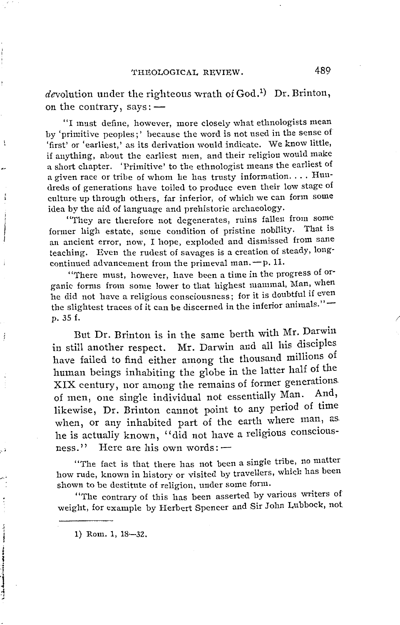devolution under the righteous wrath of God.<sup>1</sup>) Dr. Brinton, on the contrary, says: $-$ 

"I must define, however, more closely what ethnologists mean by 'primitive peoples;' because the word is not used in the sense of 'first' or 'earliest,' as its derivation would indicate. We know little, if anything, about the earliest men, and their religion would make a short chapter. 'Primitive' to the ethnologist means the earliest of a given race or tribe of whom he has trusty information.... Hundreds of generations have toiled to produce even their low stage of culture up through others, far inferior, of which we can form some idea by the aid of language and prehistoric archaeology.

"They are therefore not degenerates, ruins fallen from some former high estate, some condition of pristine nobility. That is an ancient error, now, I hope, exploded and dismissed from sane teaching. Even the rudest of savages is a creation of steady, longcontinued advancement from the primeval man.  $-p$ . 11.

"There must, however, have been a time in the progress of organic forms from some lower to that highest mammal, Man, when he did not have a religious consciousness; for it is doubtful if even the slightest traces of it can be discerned in the inferior animals."p. 35 f.

But Dr. Brinton is in the same berth with Mr. Darwin in still another respect. Mr. Darwin and all his disciples have failed to find either among the thousand millions of human beings inhabiting the globe in the latter half of the XIX century, nor among the remains of former generations. of men, one single individual not essentially Man. And, likewise, Dr. Brinton cannot point to any period of time when, or any inhabited part of the earth where man, as he is actually known, "did not have a religious consciousness." Here are his own words: $-$ 

"The fact is that there has not been a single tribe, no matter how rude, known in history or visited by travellers, which has been shown to be destitute of religion, under some form.

''The contrary of this has been asserted by various writers of weight, for example by Herbert Spencer and Sir John Lubbock, not

1) Rom. 1, 18-32.

 $\frac{1}{4}$ 

i

 $\vdots$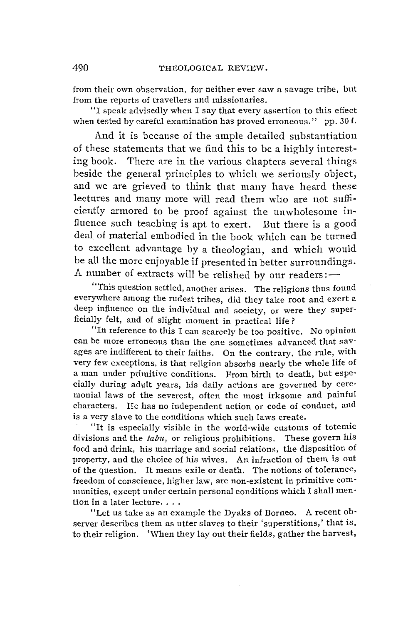from their own observation, for neither ever saw a savage tribe, but from the reports of travellers and missionaries.

"I speak advisedly when I say that every assertion to this effect when tested by careful examination has proved erroneous." pp. 30 f.

And it is because of the ample detailed substantiation of these statements that we find this to be a highly interesting book. There are in the various chapters several things beside the general principles to which we seriously object, and we are grieved to think that many have heard these lectures and many more will read them who are not sufficiently armored to be proof against the unwholesome influence such teaching is apt to exert. But there is a good deal of material embodied in the book which can be turned to excellent advantage by a theologian, and which would be all the more enjoyable if presented in better surroundings. A number of extracts will be relished by our readers: -

"This question settled, another arises. The religions thus found everywhere among the rudest tribes, did they take root and exert a deep influence on the individual and society, or were they super· ficially felt, and of slight moment in practical life ?

"In reference to this I can scarcely be too positive. No opinion can be more erroneous than the one sometimes advanced that sav· ages are indifferent to their faiths. On the contrary, the rule, with very few exceptions, is that religion absorbs nearly the whole life of a man under primitive conditions. From birth to death, but espe· cially during adult years, his daily actions are governed by cere· monial laws of the severest, often the most irksome and painful characters. He has no independent action or code of conduct, and is a very slave to the conditions which such laws create.

"It is especially visible in the world-wide customs of totemic divisions and the *tabu,* or religious prohibitions. These govern his food and drink, his marriage and social relations, the disposition of property, and the choice of his wives. An infraction of them is out of the question. It means exile or death. The notions of tolerance, freedom of conscience, higher law, are non-existent in primitive com· munities, except under certain personal conditions which I shall men· tion in a later lecture....

"Let us take as an example the Dyaks of Borneo. A recent ob· server describes them as utter slaves to their 'superstitions,' that is, to their religion. 'When they lay out their fields, gather the harvest,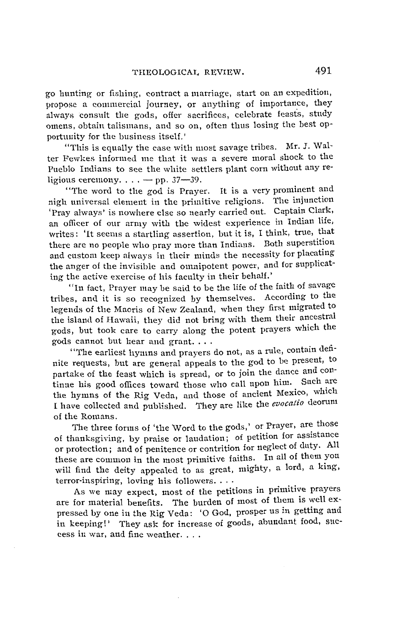go hunting or fishing, contract a marriage, start on an expedition, propose a commercial journey, or anything of importance, they always consult the gods, offer sacrifices, celebrate feasts, study omens, obtain talismans, and so on, often thus losing the best opportunity for the business itself.'

"This is equally the case with most savage tribes. Mr. J. Walter Fewkes informed me that it was a severe moral shock to the Pueblo Indians to see the white settlers plant corn without any religious ceremony....  $-pp. 37-39$ .

"The word to the god is Prayer. It is a very prominent and nigh universal element in the primitive religions. The injunction "Pray always' is nowhere else so nearly carried out. Captain Clark, an officer of our army with the widest experience in Indian life, writes: 'It seems a startling assertion, but it is, I think, true, that there are no people who pray more than Indians. Both superstition and custom keep always in their minds the necessity for placating the anger of the invisible and omnipotent power, and for supplicating the active exercise of his faculty in their behalf.'

"In fact, Prayer may be said to be the life of the faith of savage tribes, and it is so recognized by themselves. According to the legends of the Maoris of New Zealand, when they first migrated to the island of Hawaii, they did not bring with them their ancestral gods, but took care to carry along the potent prayers which the gods cannot but hear and grant. ...

"The earliest hymns and prayers do not, as a rule, contain definite requests, but are general appeals to the god to be present, to partake of the feast which is spread, or to join the dance and continue his good offices toward those who call upon him. Such are the hymns of the Rig Veda, and those of ancient Mexico, which I have collected and published. They are like the *evocatio* deorum of the Romans.

The three forms of 'the Word to the gods,' or Prayer, are those of thanksgiving, by praise or laudation; of petition for assistance or protection; and of penitence or contrition for neglect of duty. All these are common in the most primitive faiths. In all of them you will find the deity appealed to as great, mighty, a lord, a king, terror-inspiring, loving his followers....

As we may expect, most of the petitions in primitive prayers are for material benefits. The burden of most of them is well expressed by one in the Rig Veda: 'O God, prosper us in getting and in keeping!' They ask for increase of goods, abundant food, success in war, and fine weather. . . .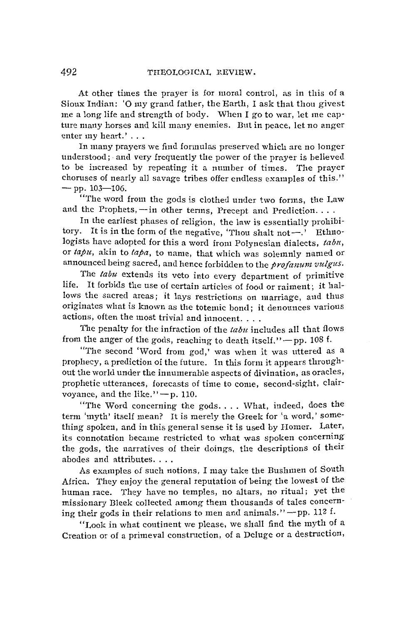At other times the prayer is for moral control, as in this of a Sioux Indian: 'O my grand father, the Earth, I ask that thou givest me a long life and strength of body. When I go to war, let me capture many horses and kill many enemies. But in peace, let no anger enter my heart.' ...

In many prayers we find formulas preserved which are no longer understood; • and very frequently the power of the prayer is believed to be increased by repeating it a number of times. The prayer choruses of nearly all savage tribes offer endless examples of this."  $-$  pp. 103 $-$ 106.

"The word from the gods is clothed under two forms, the Law and the Prophets,  $-in$  other terms, Precept and Prediction....

In the earliest phases of religion, the law is essentially prohibitory. It is in the form of the negative, 'Thou shalt not-.' Ethnologists have adopted for this a word from Polynesian dialects, *tabu,*  or *tajm,* akin to *tapa,* to name, that which was solemnly named or announced being sacred, and hence forbidden to the *profanum vulgus*.

The *tabu* extends its veto into every department of primitive<br>life. It forbids the use of certain articles of food or raiment: it hal-It forbids the use of certain articles of food or raiment; it hallows the sacred areas; it lays restrictions on marriage, and thus originates what is known as the totemic bond; it denounces various actions, often the most trivial and innocent.  $\ldots$ 

The penalty for the infraction of the *tabu* includes all that flows from the anger of the gods, reaching to death itself."-pp. 108 f.

"The second 'Word from god,' was when it was uttered as a prophecy, a prediction of the future. In this form it appears throughout the world under the innumerable aspects of divination, as oracles, prophetic utterances, forecasts of time to come, second-sight, clairvoyance, and the like." $-$ p. 110.

"The Word concerning the gods.... What, indeed, does the term 'myth' itself mean? It is merely the Greek for 'a word,' something spoken, and in this general sense it is used by Homer. Later, its connotation became restricted to what was spoken concerning the gods, the narratives of their doings, the descriptions of their abodes and attributes....

As examples of such notions, I may take the Bushmen of South Africa. They enjoy the general reputation of being the lowest of the human race. They have no temples, no altars, no ritual; yet the missionary Bleek collected among them thousands of tales concerning their gods in their relations to men and animals." -- pp. 112 f.

"Look in what continent we please, we shall find the myth of a Creation or of a primeval construction, of a Deluge or a destruction,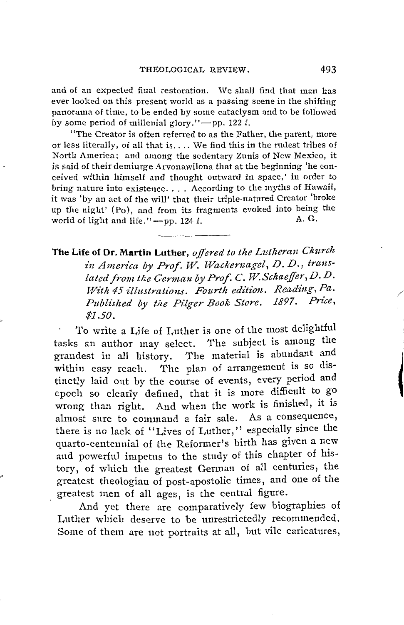and of an expected final restoration. \Ve shall find that man has ever looked on this present world as a passing scene in the shifting panorama of time, to be ended by some cataclysm and to be followed by some period of millenial glory." $-$ pp. 122 f.

"The Creator is often referred to as the Father, the parent, more or less literally, of all that is .... We find this in the rudest tribes of North America; and among the sedentary Zunis of New Mexico, it is said of their demiurge Arvonawilona that at the beginning 'he conceived within himself and thought outward in space,' in order to bring nature into existence. . . . According to the myths of Hawaii, it was 'by an act of the will' that their triple-natured Creator 'broke up the night' (Po), and from its fragments evoked into being the world of light and life  $v_{\text{m}}$  on 124 f. world of light and life." $-$ pp. 124 f.

The Life of Dr. Martin Luther, *offered to the Lutheran Church* in America by Prof. W. Wackernagel, D. D., translated from the German by Prof. C. W. Schaeffer, D. D. *With 45 illustrations. Fourth edition. Reading, Pa.* Published by the Pilger Book Store. 1897. Price, *\$1.50.* 

To write a Life of Luther is one of the most delightful tasks an author may select. The subject is among the grandest in all history. The material is abundant and within easy reach. The plan of arrangement is so distinctly laid out by the course of events, every period and epoch so clearly defined, that it is more difficult to go wrong than right. And when the work is finished, it is almost sure to command a fair sale. As a consequence, there is no lack of "Lives of Luther," especially since the quarto-centennial of the Reformer's birth has given a new and powerful impetus to the study of this chapter of history, of which the greatest German of all centuries, the greatest theologian of post-apostolic times, and one of the greatest men of all ages, is the central figure.

And yet there are comparatively few biographies of Luther which deserve to be unrestrictedly recommended. Some of them are not portraits at all, but vile caricatures,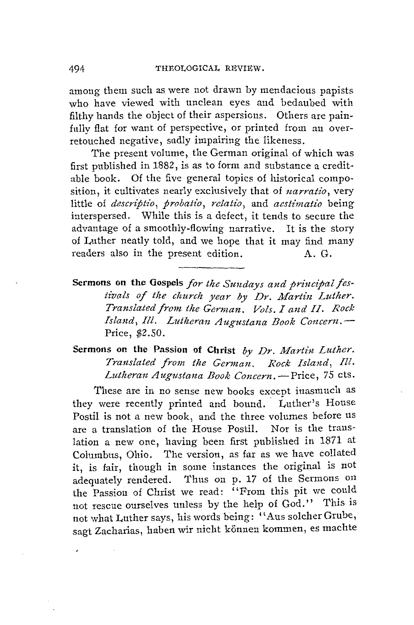among them such as were not drawn by mendacious papists who have viewed with unclean eyes and bedaubed with filthy hands the object of their aspersions. Others are painfully flat for want of perspective, or printed from an overretouched negative, sadly impairing the likeness.

The present volume, the German original of which was first published in 1882, is as to form and substance a creditable book. Of the five general topics of historical composition, it cultivates nearly exclusively that of *narratio,* very little of *descriptio, probatio, relatio*, and *aestimatio* being interspersed. While this is a defect, it tends to secnre the advantage of a smoothly-flowing narrative. It is the story of Luther neatly told, and we hope that it may find many readers also in the present edition. A. G.

**Sermons on the Gospels** *for the Sundays and principal festivals of the church year by Dr. Martin Luther. Translated from the German. Vols. I and II. Rock Island, Ill. Lutheran Augustana Book Concern.* -Price, \$2.50.

**Sermons on the Passion of Christ** *by Dr. Martin Luther. Translated from the German. Rock Island, Ill. Lutheran Augustana Book Concern.* - Price, 75 cts.

These are in no sense new books except inasmuch as they were recently printed and bound. Luther's House Postil is not a new book, and the three volumes before us are a translation of the House Postil. Nor is the translation a new one, having been first published in 1871 at Columbus, Ohio. The version, as far as we have collated it, is fair, though in some instances the original is not adequately rendered. Thus on p. 17 of the Sermons on the Passion of Christ we read: ''From this pit we could not rescue ourselves unless by the help of God.'' This is not what Luther says, his words being: ''Aus solcher Grube, sagt Zacharias, haben wir nicht konnen kommen, es machte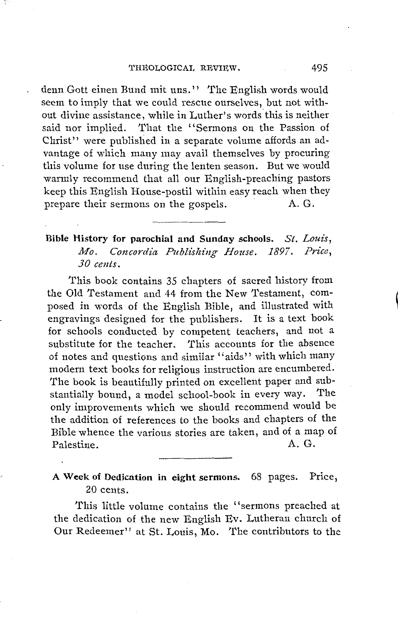denn Gott einen Bund mit uns.'' The English words would seem to imply that we could rescue ourselves, but not without divine assistance, while in Luther's words this is neither said nor implied. That the "Sermons on the Passion of Christ'' were published in a separate volume affords an advantage of which many may avail themselves by procuring this volume for use during the lenten season. But we would warmly recommend that all our English-preaching pastors keep this English House-postil within easy reach when they prepare their sermons on the gospels.  $A. G.$ 

# **Bible History for parochial and Sunday schools.** *St. Louis, Mo. Concordia Publishing House. 1897. Price, 30 cents.*

This book contains 35 chapters of sacred history from the Old Testament and 44 from the New Testament, composed in words of the English Bible, and illustrated with engravings designed for the publishers. It is a text book for schools conducted by competent teachers, and not a substitute for the teacher. This accounts for the absence of notes and questions and similar ''aids'' with which many modern text books for religious instruction are encumbered. The book is beautifully printed on excellent paper and substantially bound, a model school-book in every way. The only improvements which we should recommend would be the addition of references to the books and chapters of the Bible whence the various stories are taken, and of a map of Palestine. A. G.

### **A Week of Dedication in eight sermons.** 68 pages. Price, 20 cents.

This little volume contains the '' sermons preached at the dedication of the new English Ev. Lutheran church of Our Redeemer'' at St. Louis, Mo. The contributors to the